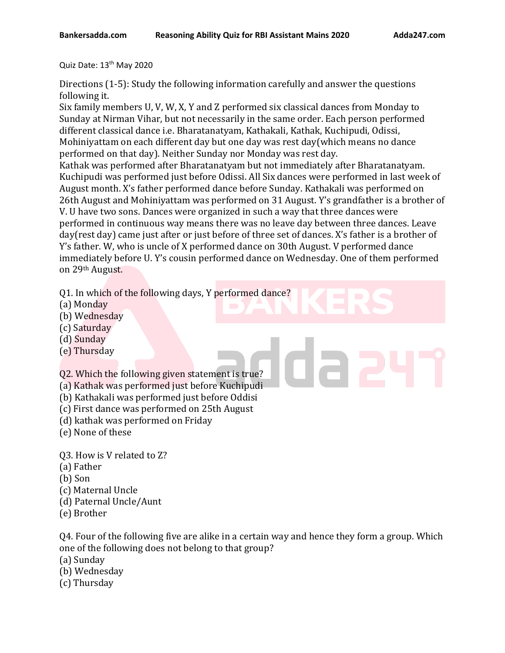Quiz Date: 13<sup>th</sup> May 2020

Directions (1-5): Study the following information carefully and answer the questions following it.

Six family members U, V, W, X, Y and Z performed six classical dances from Monday to Sunday at Nirman Vihar, but not necessarily in the same order. Each person performed different classical dance i.e. Bharatanatyam, Kathakali, Kathak, Kuchipudi, Odissi, Mohiniyattam on each different day but one day was rest day(which means no dance performed on that day). Neither Sunday nor Monday was rest day. Kathak was performed after Bharatanatyam but not immediately after Bharatanatyam. Kuchipudi was performed just before Odissi. All Six dances were performed in last week of August month. X's father performed dance before Sunday. Kathakali was performed on 26th August and Mohiniyattam was performed on 31 August. Y's grandfather is a brother of

V. U have two sons. Dances were organized in such a way that three dances were performed in continuous way means there was no leave day between three dances. Leave day(rest day) came just after or just before of three set of dances. X's father is a brother of Y's father. W, who is uncle of X performed dance on 30th August. V performed dance immediately before U. Y's cousin performed dance on Wednesday. One of them performed on 29th August.

Q1. In which of the following days, Y performed dance?

- (a) Monday
- (b) Wednesday
- (c) Saturday
- (d) Sunday
- (e) Thursday

Q2. Which the following given statement is true?

- (a) Kathak was performed just before Kuchipudi
- (b) Kathakali was performed just before Oddisi
- (c) First dance was performed on 25th August
- (d) kathak was performed on Friday
- (e) None of these

Q3. How is V related to Z?

- (a) Father
- (b) Son
- (c) Maternal Uncle
- (d) Paternal Uncle/Aunt
- (e) Brother

Q4. Four of the following five are alike in a certain way and hence they form a group. Which one of the following does not belong to that group?

(a) Sunday

- (b) Wednesday
- (c) Thursday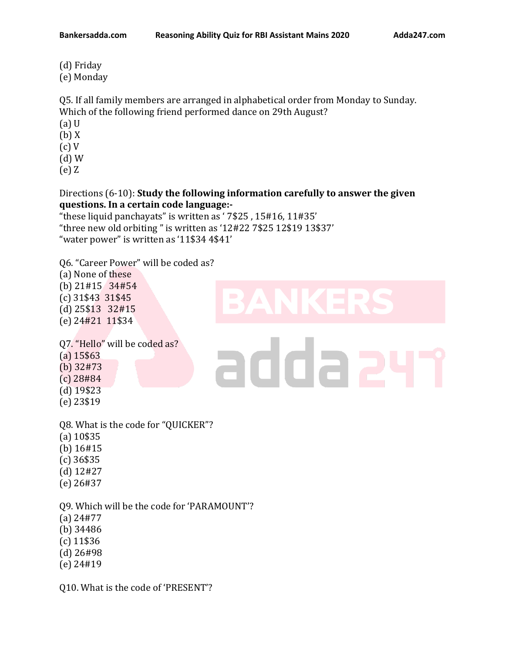(d) Friday (e) Monday

Q5. If all family members are arranged in alphabetical order from Monday to Sunday.

Which of the following friend performed dance on 29th August?

- (a) U
- (b) X
- (c) V
- (d) W
- (e) Z

## Directions (6-10): **Study the following information carefully to answer the given questions. In a certain code language:-**

addaa

"these liquid panchayats" is written as ' 7\$25 , 15#16, 11#35' "three new old orbiting " is written as '12#22 7\$25 12\$19 13\$37' "water power" is written as '11\$34 4\$41'

Q6. "Career Power" will be coded as?

(a) None of these

(b) 21#15 34#54 (c) 31\$43 31\$45 (d) 25\$13 32#15 (e) 24#21 11\$34

Q7. "Hello" will be coded as? (a) 15\$63

- (b) 32#73
- (c) 28#84
- (d) 19\$23
- (e) 23\$19

Q8. What is the code for "QUICKER"?

- (a) 10\$35
- (b) 16#15
- (c) 36\$35
- (d) 12#27
- (e) 26#37

Q9. Which will be the code for 'PARAMOUNT'?

- (a) 24#77
- (b) 34486
- (c) 11\$36
- (d) 26#98
- (e) 24#19

Q10. What is the code of 'PRESENT'?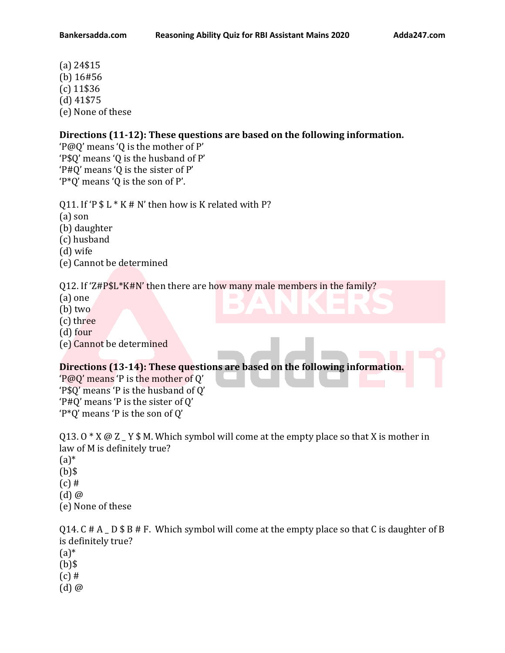(a) 24\$15 (b) 16#56 (c) 11\$36 (d) 41\$75 (e) None of these

## **Directions (11-12): These questions are based on the following information.**

'P@Q' means 'Q is the mother of P' 'P\$Q' means 'Q is the husband of P' 'P#Q' means 'Q is the sister of P' 'P\*Q' means 'Q is the son of P'.

Q11. If 'P  $$ L * K # N'$  then how is K related with P?

(a) son

(b) daughter

(c) husband

(d) wife

(e) Cannot be determined

Q12. If 'Z#P\$L\*K#N' then there are how many male members in the family?

- (a) one
- (b) two
- (c) three
- (d) four
- (e) Cannot be determined

## **Directions (13-14): These questions are based on the following information.**

'P@Q' means 'P is the mother of Q' 'P\$Q' means 'P is the husband of Q' 'P#Q' means 'P is the sister of Q' 'P\*Q' means 'P is the son of Q'

Q13. O  $*$  X  $\omega$  Z  $\angle$  Y  $*$  M. Which symbol will come at the empty place so that X is mother in law of M is definitely true?  $(a)*$ (b)\$  $(c)$  #  $(d)$   $@$ (e) None of these

Q14. C  $# A$   $\Box$  D  $$ B \# F$ . Which symbol will come at the empty place so that C is daughter of B is definitely true?  $(a)*$  $(b)$ \$  $(c)$  # (d) @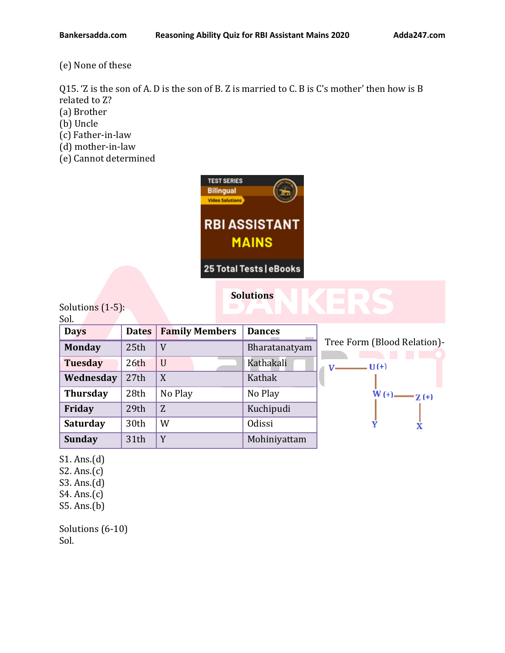(e) None of these

Q15. 'Z is the son of A. D is the son of B. Z is married to C. B is C's mother' then how is B related to Z?

- (a) Brother
- (b) Uncle
- (c) Father-in-law
- (d) mother-in-law
- (e) Cannot determined



25 Total Tests | eBooks

## **Solutions**

Solutions (1-5):  $C_{\Omega}$ 

| 50I.            |              |                       |               |                             |
|-----------------|--------------|-----------------------|---------------|-----------------------------|
| <b>Days</b>     | <b>Dates</b> | <b>Family Members</b> | <b>Dances</b> |                             |
| <b>Monday</b>   | 25th         | V                     | Bharatanatyam | Tree Form (Blood Relation)- |
| <b>Tuesday</b>  | 26th         | U                     | Kathakali     | $- U(+)$<br>$V -$           |
| Wednesday       | 27th         | X                     | Kathak        |                             |
| <b>Thursday</b> | 28th         | No Play               | No Play       | $W(+)$ $Z(+)$               |
| Friday          | 29th         | Z                     | Kuchipudi     |                             |
| <b>Saturday</b> | 30th         | W                     | Odissi        |                             |
| <b>Sunday</b>   | 31th         | Y                     | Mohiniyattam  |                             |

S1. Ans.(d)

S2. Ans.(c)

S3. Ans.(d)

- S4. Ans.(c)
- S5. Ans.(b)

Solutions (6-10) Sol.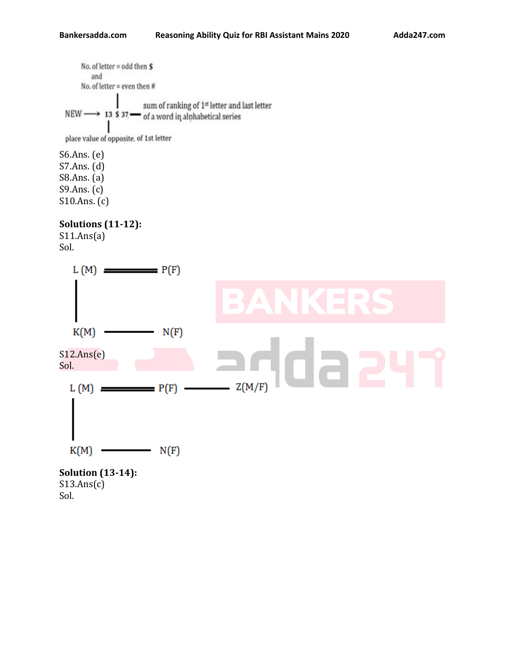No. of letter = odd then  $S$ and No. of letter = even then # sum of ranking of 1<sup>st</sup> letter and last letter NEW  $\longrightarrow$  13 \$ 37  $\longrightarrow$  of a word in alphabetical series

place value of opposite. of 1st letter

S6.Ans. (e) S7.Ans. (d) S8.Ans. (a) S9.Ans. (c) S10.Ans. (c)

**Solutions (11-12):**  $S11.Ans(a)$ 

Sol.



Sol.